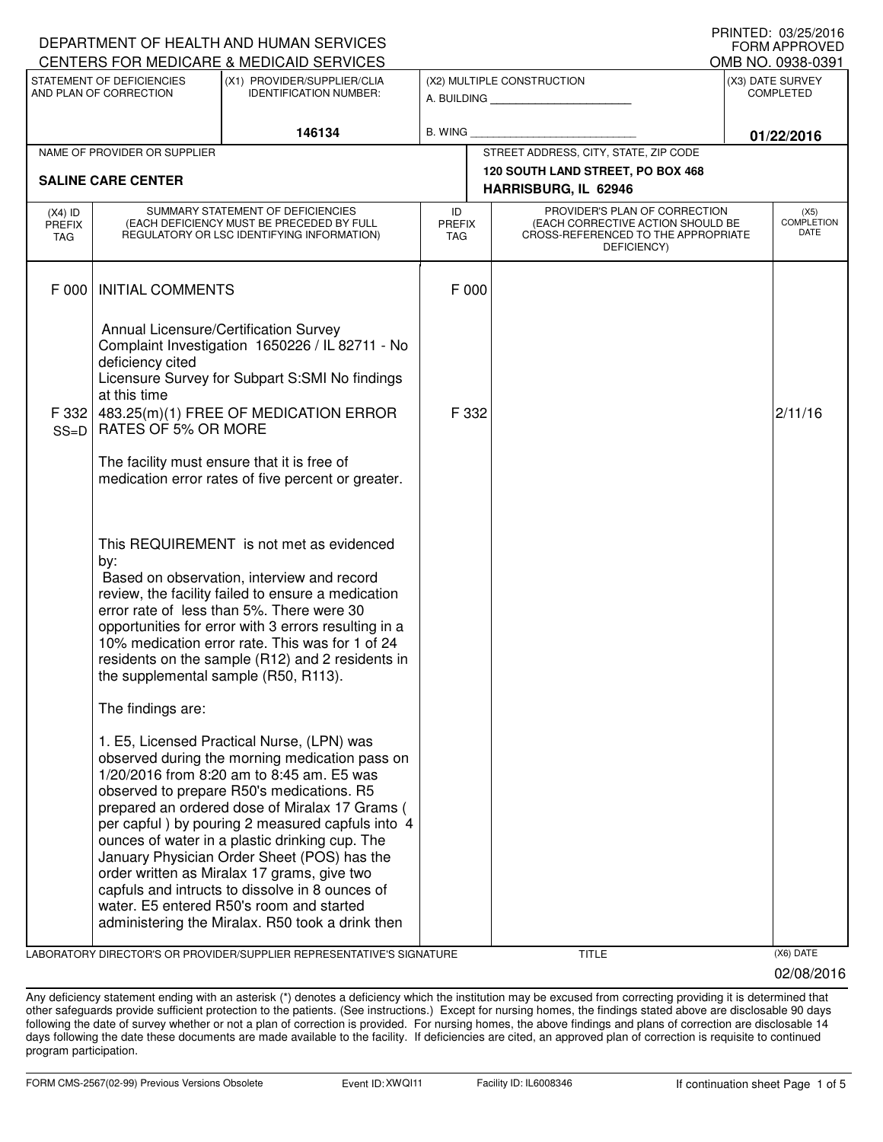| DEPARTMENT OF HEALTH AND HUMAN SERVICES             |                                                                           | <b>FORM APPROVED</b>                                                                                                                                                                                                                                                                                                                                                                                                                                                                                                                                                                            |                                                          |  |                                                                                                                          |                                      |                                   |
|-----------------------------------------------------|---------------------------------------------------------------------------|-------------------------------------------------------------------------------------------------------------------------------------------------------------------------------------------------------------------------------------------------------------------------------------------------------------------------------------------------------------------------------------------------------------------------------------------------------------------------------------------------------------------------------------------------------------------------------------------------|----------------------------------------------------------|--|--------------------------------------------------------------------------------------------------------------------------|--------------------------------------|-----------------------------------|
|                                                     |                                                                           | CENTERS FOR MEDICARE & MEDICAID SERVICES                                                                                                                                                                                                                                                                                                                                                                                                                                                                                                                                                        |                                                          |  |                                                                                                                          |                                      | OMB NO. 0938-0391                 |
| STATEMENT OF DEFICIENCIES<br>AND PLAN OF CORRECTION |                                                                           | (X1) PROVIDER/SUPPLIER/CLIA<br><b>IDENTIFICATION NUMBER:</b>                                                                                                                                                                                                                                                                                                                                                                                                                                                                                                                                    | (X2) MULTIPLE CONSTRUCTION<br>A. BUILDING AND AN INCOME. |  |                                                                                                                          | (X3) DATE SURVEY<br><b>COMPLETED</b> |                                   |
| 146134                                              |                                                                           | B. WING                                                                                                                                                                                                                                                                                                                                                                                                                                                                                                                                                                                         |                                                          |  |                                                                                                                          | 01/22/2016                           |                                   |
|                                                     | NAME OF PROVIDER OR SUPPLIER                                              |                                                                                                                                                                                                                                                                                                                                                                                                                                                                                                                                                                                                 |                                                          |  | STREET ADDRESS, CITY, STATE, ZIP CODE                                                                                    |                                      |                                   |
|                                                     | <b>SALINE CARE CENTER</b>                                                 |                                                                                                                                                                                                                                                                                                                                                                                                                                                                                                                                                                                                 |                                                          |  | 120 SOUTH LAND STREET, PO BOX 468<br>HARRISBURG, IL 62946                                                                |                                      |                                   |
| $(X4)$ ID<br>PREFIX<br>TAG                          |                                                                           | SUMMARY STATEMENT OF DEFICIENCIES<br>(EACH DEFICIENCY MUST BE PRECEDED BY FULL<br>REGULATORY OR LSC IDENTIFYING INFORMATION)                                                                                                                                                                                                                                                                                                                                                                                                                                                                    | ID<br>PREFIX<br>TAG                                      |  | PROVIDER'S PLAN OF CORRECTION<br>(EACH CORRECTIVE ACTION SHOULD BE<br>CROSS-REFERENCED TO THE APPROPRIATE<br>DEFICIENCY) |                                      | (X5)<br><b>COMPLETION</b><br>DATE |
| F 000                                               | <b>INITIAL COMMENTS</b>                                                   |                                                                                                                                                                                                                                                                                                                                                                                                                                                                                                                                                                                                 | F 000                                                    |  |                                                                                                                          |                                      |                                   |
|                                                     | Annual Licensure/Certification Survey<br>deficiency cited<br>at this time | Complaint Investigation 1650226 / IL 82711 - No<br>Licensure Survey for Subpart S:SMI No findings                                                                                                                                                                                                                                                                                                                                                                                                                                                                                               |                                                          |  |                                                                                                                          |                                      |                                   |
| F 332<br>$SS=D$                                     | RATES OF 5% OR MORE                                                       | 483.25(m)(1) FREE OF MEDICATION ERROR                                                                                                                                                                                                                                                                                                                                                                                                                                                                                                                                                           | F 332                                                    |  |                                                                                                                          |                                      | 2/11/16                           |
|                                                     |                                                                           | The facility must ensure that it is free of<br>medication error rates of five percent or greater.                                                                                                                                                                                                                                                                                                                                                                                                                                                                                               |                                                          |  |                                                                                                                          |                                      |                                   |
|                                                     | by:<br>the supplemental sample (R50, R113).                               | This REQUIREMENT is not met as evidenced<br>Based on observation, interview and record<br>review, the facility failed to ensure a medication<br>error rate of less than 5%. There were 30<br>opportunities for error with 3 errors resulting in a<br>10% medication error rate. This was for 1 of 24<br>residents on the sample (R12) and 2 residents in                                                                                                                                                                                                                                        |                                                          |  |                                                                                                                          |                                      |                                   |
|                                                     | The findings are:                                                         |                                                                                                                                                                                                                                                                                                                                                                                                                                                                                                                                                                                                 |                                                          |  |                                                                                                                          |                                      |                                   |
|                                                     |                                                                           | 1. E5, Licensed Practical Nurse, (LPN) was<br>observed during the morning medication pass on<br>1/20/2016 from 8:20 am to 8:45 am. E5 was<br>observed to prepare R50's medications. R5<br>prepared an ordered dose of Miralax 17 Grams (<br>per capful) by pouring 2 measured capfuls into 4<br>ounces of water in a plastic drinking cup. The<br>January Physician Order Sheet (POS) has the<br>order written as Miralax 17 grams, give two<br>capfuls and intructs to dissolve in 8 ounces of<br>water. E5 entered R50's room and started<br>administering the Miralax. R50 took a drink then |                                                          |  |                                                                                                                          |                                      |                                   |

LABORATORY DIRECTOR'S OR PROVIDER/SUPPLIER REPRESENTATIVE'S SIGNATURE TITLE TITLE THE TITLE (X6) DATE

02/08/2016

PRINTED: 03/25/2016  $\Omega$ 

Any deficiency statement ending with an asterisk (\*) denotes a deficiency which the institution may be excused from correcting providing it is determined that other safeguards provide sufficient protection to the patients. (See instructions.) Except for nursing homes, the findings stated above are disclosable 90 days following the date of survey whether or not a plan of correction is provided. For nursing homes, the above findings and plans of correction are disclosable 14 days following the date these documents are made available to the facility. If deficiencies are cited, an approved plan of correction is requisite to continued program participation.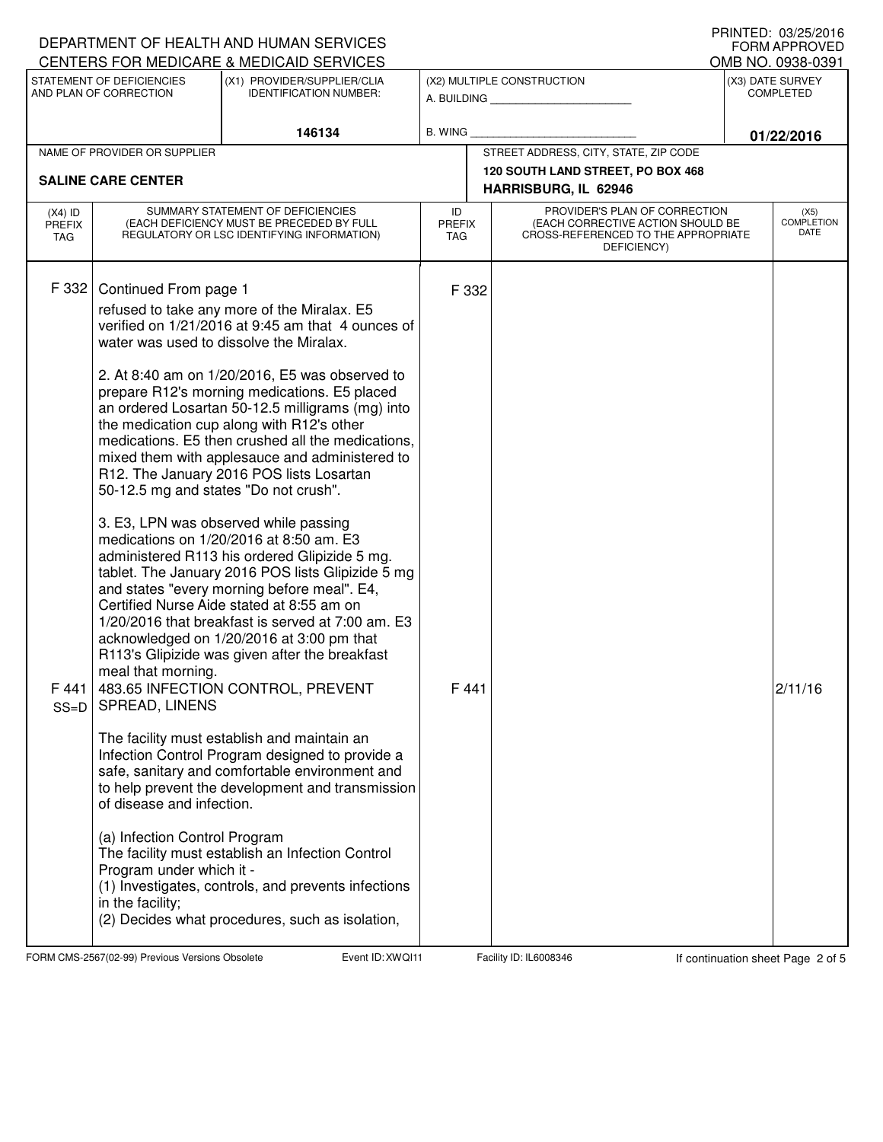|                                                     |                                                                                                                                                                                                                      | DEPARTMENT OF HEALTH AND HUMAN SERVICES<br>CENTERS FOR MEDICARE & MEDICAID SERVICES                                                                                                                                                                                                                                                                                                                                                                                                                                                                                                                                                                                                                                                                                                                                                                                                                                                                                                                                                                                                                                                                                                                                                                                                                                                                    |                                           |                                                                                                                          |                                      | U INIVILD. <i>UJILJIL</i> U IU<br><b>FORM APPROVED</b><br>OMB NO. 0938-0391 |
|-----------------------------------------------------|----------------------------------------------------------------------------------------------------------------------------------------------------------------------------------------------------------------------|--------------------------------------------------------------------------------------------------------------------------------------------------------------------------------------------------------------------------------------------------------------------------------------------------------------------------------------------------------------------------------------------------------------------------------------------------------------------------------------------------------------------------------------------------------------------------------------------------------------------------------------------------------------------------------------------------------------------------------------------------------------------------------------------------------------------------------------------------------------------------------------------------------------------------------------------------------------------------------------------------------------------------------------------------------------------------------------------------------------------------------------------------------------------------------------------------------------------------------------------------------------------------------------------------------------------------------------------------------|-------------------------------------------|--------------------------------------------------------------------------------------------------------------------------|--------------------------------------|-----------------------------------------------------------------------------|
| STATEMENT OF DEFICIENCIES<br>AND PLAN OF CORRECTION |                                                                                                                                                                                                                      | (X1) PROVIDER/SUPPLIER/CLIA<br><b>IDENTIFICATION NUMBER:</b>                                                                                                                                                                                                                                                                                                                                                                                                                                                                                                                                                                                                                                                                                                                                                                                                                                                                                                                                                                                                                                                                                                                                                                                                                                                                                           | (X2) MULTIPLE CONSTRUCTION<br>A. BUILDING |                                                                                                                          | (X3) DATE SURVEY<br><b>COMPLETED</b> |                                                                             |
| 146134                                              |                                                                                                                                                                                                                      |                                                                                                                                                                                                                                                                                                                                                                                                                                                                                                                                                                                                                                                                                                                                                                                                                                                                                                                                                                                                                                                                                                                                                                                                                                                                                                                                                        | <b>B. WING</b>                            |                                                                                                                          | 01/22/2016                           |                                                                             |
|                                                     | NAME OF PROVIDER OR SUPPLIER                                                                                                                                                                                         |                                                                                                                                                                                                                                                                                                                                                                                                                                                                                                                                                                                                                                                                                                                                                                                                                                                                                                                                                                                                                                                                                                                                                                                                                                                                                                                                                        |                                           | STREET ADDRESS, CITY, STATE, ZIP CODE                                                                                    |                                      |                                                                             |
|                                                     | <b>SALINE CARE CENTER</b>                                                                                                                                                                                            |                                                                                                                                                                                                                                                                                                                                                                                                                                                                                                                                                                                                                                                                                                                                                                                                                                                                                                                                                                                                                                                                                                                                                                                                                                                                                                                                                        |                                           | 120 SOUTH LAND STREET, PO BOX 468<br>HARRISBURG, IL 62946                                                                |                                      |                                                                             |
| $(X4)$ ID<br><b>PREFIX</b><br>TAG                   | SUMMARY STATEMENT OF DEFICIENCIES<br>(EACH DEFICIENCY MUST BE PRECEDED BY FULL<br>REGULATORY OR LSC IDENTIFYING INFORMATION)                                                                                         |                                                                                                                                                                                                                                                                                                                                                                                                                                                                                                                                                                                                                                                                                                                                                                                                                                                                                                                                                                                                                                                                                                                                                                                                                                                                                                                                                        | ID<br><b>PREFIX</b><br>TAG.               | PROVIDER'S PLAN OF CORRECTION<br>(EACH CORRECTIVE ACTION SHOULD BE<br>CROSS-REFERENCED TO THE APPROPRIATE<br>DEFICIENCY) | (X5)<br><b>COMPLETION</b><br>DATE    |                                                                             |
| F 332<br>F 441  <br>$SS = D$                        | Continued From page 1<br>50-12.5 mg and states "Do not crush".<br>meal that morning.<br>SPREAD, LINENS<br>of disease and infection.<br>(a) Infection Control Program<br>Program under which it -<br>in the facility; | refused to take any more of the Miralax. E5<br>verified on 1/21/2016 at 9:45 am that 4 ounces of<br>water was used to dissolve the Miralax.<br>2. At 8:40 am on 1/20/2016, E5 was observed to<br>prepare R12's morning medications. E5 placed<br>an ordered Losartan 50-12.5 milligrams (mg) into<br>the medication cup along with R12's other<br>medications. E5 then crushed all the medications,<br>mixed them with applesauce and administered to<br>R12. The January 2016 POS lists Losartan<br>3. E3, LPN was observed while passing<br>medications on 1/20/2016 at 8:50 am. E3<br>administered R113 his ordered Glipizide 5 mg.<br>tablet. The January 2016 POS lists Glipizide 5 mg<br>and states "every morning before meal". E4,<br>Certified Nurse Aide stated at 8:55 am on<br>1/20/2016 that breakfast is served at 7:00 am. E3<br>acknowledged on 1/20/2016 at 3:00 pm that<br>R113's Glipizide was given after the breakfast<br>483.65 INFECTION CONTROL, PREVENT<br>The facility must establish and maintain an<br>Infection Control Program designed to provide a<br>safe, sanitary and comfortable environment and<br>to help prevent the development and transmission<br>The facility must establish an Infection Control<br>(1) Investigates, controls, and prevents infections<br>(2) Decides what procedures, such as isolation, | F 332<br>F441                             |                                                                                                                          |                                      | 2/11/16                                                                     |

FORM CMS-2567(02-99) Previous Versions Obsolete **XWQI11** Event ID: XWQI11 Facility ID: IL6008346 If continuation sheet Page 2 of 5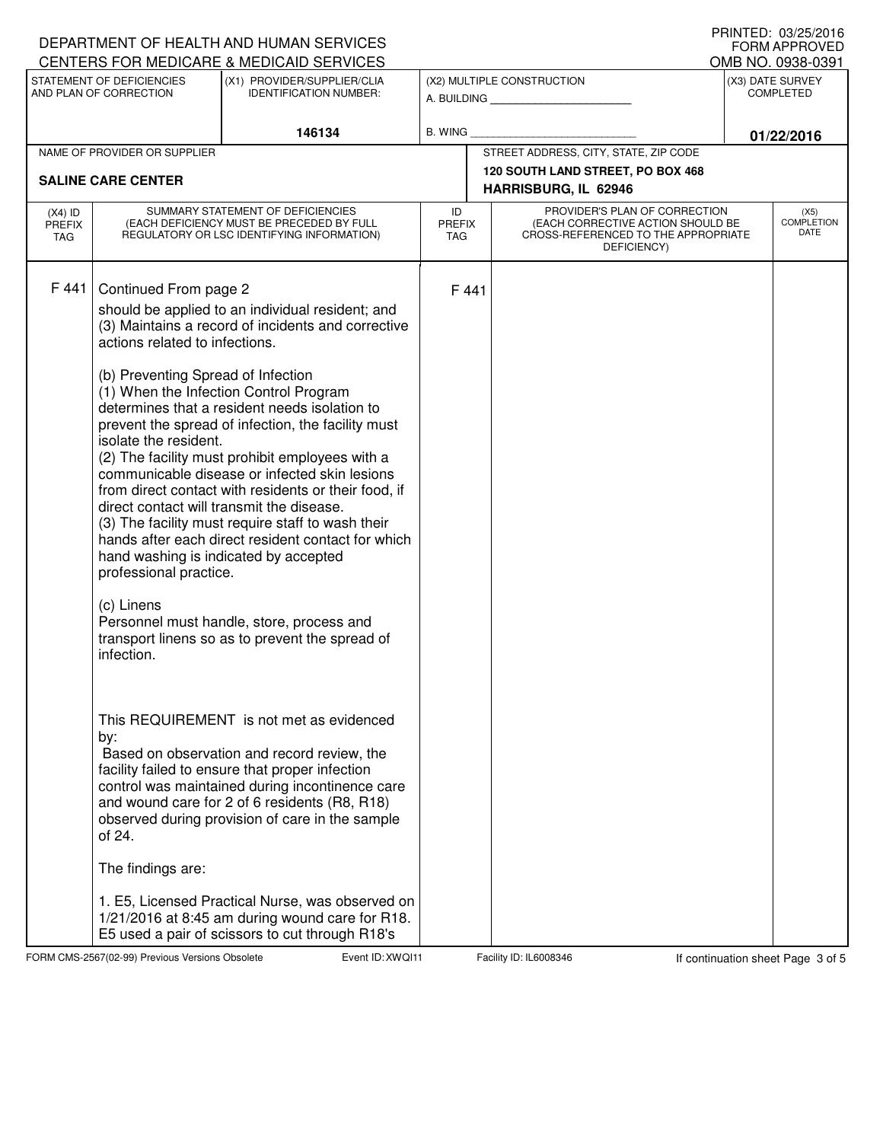| DEPARTMENT OF HEALTH AND HUMAN SERVICES             | <b>I INIVILD. VJZJZUIU</b><br><b>FORM APPROVED</b><br>OMB NO. 0938-0391                                                                                                                                                                                                                                                                                                                                                                                                                                                                                                                                                                                                                                                                                                                                                                                                                              |                                                                                                                                                                                                                                                                                                   |                                                          |                             |                                                                                                                          |                                      |                                   |  |  |
|-----------------------------------------------------|------------------------------------------------------------------------------------------------------------------------------------------------------------------------------------------------------------------------------------------------------------------------------------------------------------------------------------------------------------------------------------------------------------------------------------------------------------------------------------------------------------------------------------------------------------------------------------------------------------------------------------------------------------------------------------------------------------------------------------------------------------------------------------------------------------------------------------------------------------------------------------------------------|---------------------------------------------------------------------------------------------------------------------------------------------------------------------------------------------------------------------------------------------------------------------------------------------------|----------------------------------------------------------|-----------------------------|--------------------------------------------------------------------------------------------------------------------------|--------------------------------------|-----------------------------------|--|--|
| STATEMENT OF DEFICIENCIES<br>AND PLAN OF CORRECTION |                                                                                                                                                                                                                                                                                                                                                                                                                                                                                                                                                                                                                                                                                                                                                                                                                                                                                                      | CENTERS FOR MEDICARE & MEDICAID SERVICES<br>(X1) PROVIDER/SUPPLIER/CLIA<br><b>IDENTIFICATION NUMBER:</b>                                                                                                                                                                                          | (X2) MULTIPLE CONSTRUCTION<br>A. BUILDING AND AN INCOME. |                             |                                                                                                                          | (X3) DATE SURVEY<br><b>COMPLETED</b> |                                   |  |  |
|                                                     |                                                                                                                                                                                                                                                                                                                                                                                                                                                                                                                                                                                                                                                                                                                                                                                                                                                                                                      | 146134                                                                                                                                                                                                                                                                                            | <b>B. WING</b>                                           |                             |                                                                                                                          |                                      | 01/22/2016                        |  |  |
|                                                     | NAME OF PROVIDER OR SUPPLIER                                                                                                                                                                                                                                                                                                                                                                                                                                                                                                                                                                                                                                                                                                                                                                                                                                                                         |                                                                                                                                                                                                                                                                                                   |                                                          |                             | STREET ADDRESS, CITY, STATE, ZIP CODE                                                                                    |                                      |                                   |  |  |
|                                                     | <b>SALINE CARE CENTER</b>                                                                                                                                                                                                                                                                                                                                                                                                                                                                                                                                                                                                                                                                                                                                                                                                                                                                            |                                                                                                                                                                                                                                                                                                   |                                                          |                             | 120 SOUTH LAND STREET, PO BOX 468                                                                                        |                                      |                                   |  |  |
|                                                     |                                                                                                                                                                                                                                                                                                                                                                                                                                                                                                                                                                                                                                                                                                                                                                                                                                                                                                      |                                                                                                                                                                                                                                                                                                   |                                                          | HARRISBURG, IL 62946        |                                                                                                                          |                                      |                                   |  |  |
| $(X4)$ ID<br><b>PREFIX</b><br><b>TAG</b>            | SUMMARY STATEMENT OF DEFICIENCIES<br>(EACH DEFICIENCY MUST BE PRECEDED BY FULL<br>REGULATORY OR LSC IDENTIFYING INFORMATION)                                                                                                                                                                                                                                                                                                                                                                                                                                                                                                                                                                                                                                                                                                                                                                         |                                                                                                                                                                                                                                                                                                   |                                                          | <b>PREFIX</b><br><b>TAG</b> | PROVIDER'S PLAN OF CORRECTION<br>(EACH CORRECTIVE ACTION SHOULD BE<br>CROSS-REFERENCED TO THE APPROPRIATE<br>DEFICIENCY) |                                      | (X5)<br><b>COMPLETION</b><br>DATE |  |  |
| F 441                                               | Continued From page 2<br>should be applied to an individual resident; and<br>(3) Maintains a record of incidents and corrective<br>actions related to infections.<br>(b) Preventing Spread of Infection<br>(1) When the Infection Control Program<br>determines that a resident needs isolation to<br>prevent the spread of infection, the facility must<br>isolate the resident.<br>(2) The facility must prohibit employees with a<br>communicable disease or infected skin lesions<br>from direct contact with residents or their food, if<br>direct contact will transmit the disease.<br>(3) The facility must require staff to wash their<br>hands after each direct resident contact for which<br>hand washing is indicated by accepted<br>professional practice.<br>(c) Linens<br>Personnel must handle, store, process and<br>transport linens so as to prevent the spread of<br>infection. |                                                                                                                                                                                                                                                                                                   |                                                          | F 441                       |                                                                                                                          |                                      |                                   |  |  |
|                                                     | by:<br>of 24.<br>The findings are:                                                                                                                                                                                                                                                                                                                                                                                                                                                                                                                                                                                                                                                                                                                                                                                                                                                                   | This REQUIREMENT is not met as evidenced<br>Based on observation and record review, the<br>facility failed to ensure that proper infection<br>control was maintained during incontinence care<br>and wound care for 2 of 6 residents (R8, R18)<br>observed during provision of care in the sample |                                                          |                             |                                                                                                                          |                                      |                                   |  |  |
|                                                     |                                                                                                                                                                                                                                                                                                                                                                                                                                                                                                                                                                                                                                                                                                                                                                                                                                                                                                      | 1. E5, Licensed Practical Nurse, was observed on<br>1/21/2016 at 8:45 am during wound care for R18.<br>E5 used a pair of scissors to cut through R18's                                                                                                                                            |                                                          |                             |                                                                                                                          |                                      |                                   |  |  |

FORM CMS-2567(02-99) Previous Versions Obsolete **XWQI11** Event ID: XWQI11 Facility ID: IL6008346 If continuation sheet Page 3 of 5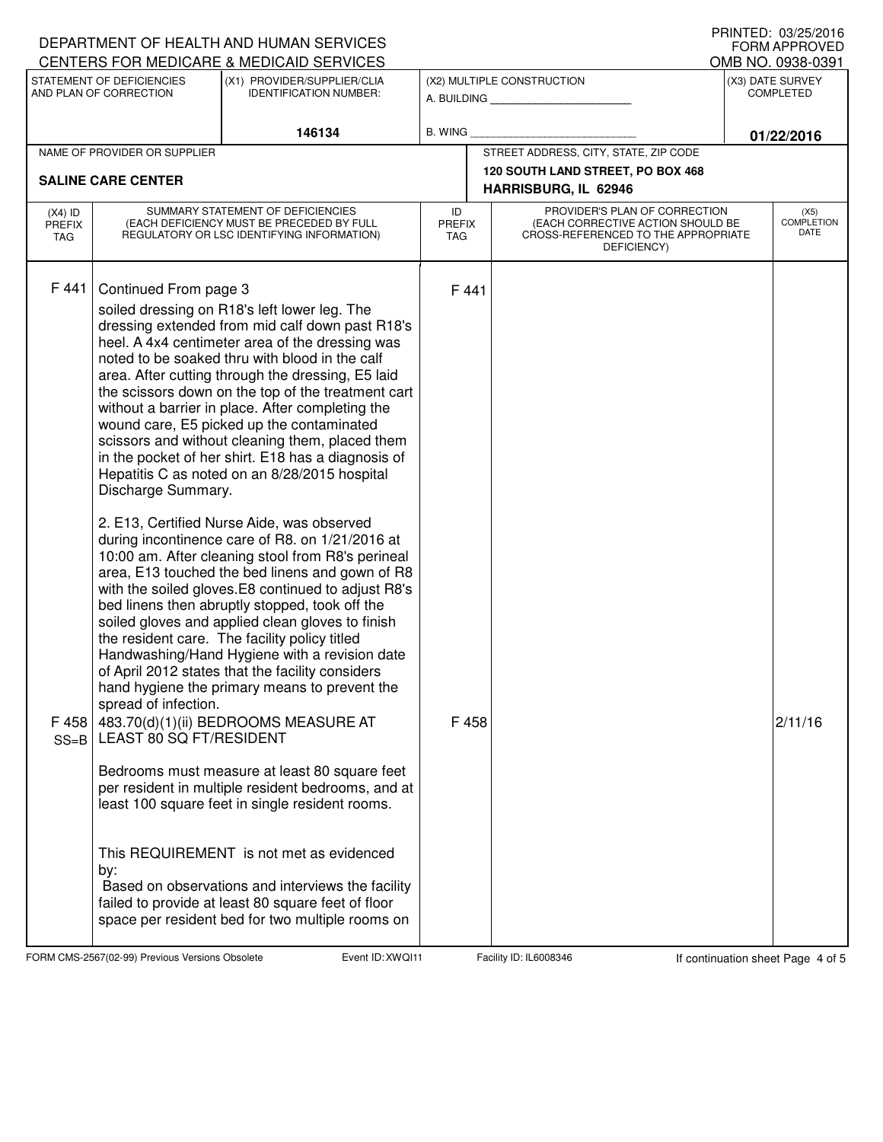|                                                                                                      | DEPARTMENT OF HEALTH AND HUMAN SERVICES                                                                                      |                                                                                                                                                                                                                                                                                                                                                                                                                                                                                                                                                                                                                                                                                                                                                                                                                                                                                                                                                                                                                                                                                                                                                                                                                                                                                                                                                                                                                                                                                                                 | I INIVILD. VJZJZVIV<br>FORM APPROVED<br>OMB NO. 0938-0391 |                                                                                                                          |                                                                            |                  |                                          |
|------------------------------------------------------------------------------------------------------|------------------------------------------------------------------------------------------------------------------------------|-----------------------------------------------------------------------------------------------------------------------------------------------------------------------------------------------------------------------------------------------------------------------------------------------------------------------------------------------------------------------------------------------------------------------------------------------------------------------------------------------------------------------------------------------------------------------------------------------------------------------------------------------------------------------------------------------------------------------------------------------------------------------------------------------------------------------------------------------------------------------------------------------------------------------------------------------------------------------------------------------------------------------------------------------------------------------------------------------------------------------------------------------------------------------------------------------------------------------------------------------------------------------------------------------------------------------------------------------------------------------------------------------------------------------------------------------------------------------------------------------------------------|-----------------------------------------------------------|--------------------------------------------------------------------------------------------------------------------------|----------------------------------------------------------------------------|------------------|------------------------------------------|
| CENTERS FOR MEDICARE & MEDICAID SERVICES<br>STATEMENT OF DEFICIENCIES<br>(X1) PROVIDER/SUPPLIER/CLIA |                                                                                                                              |                                                                                                                                                                                                                                                                                                                                                                                                                                                                                                                                                                                                                                                                                                                                                                                                                                                                                                                                                                                                                                                                                                                                                                                                                                                                                                                                                                                                                                                                                                                 | (X2) MULTIPLE CONSTRUCTION                                |                                                                                                                          |                                                                            | (X3) DATE SURVEY |                                          |
| AND PLAN OF CORRECTION                                                                               |                                                                                                                              | <b>IDENTIFICATION NUMBER:</b>                                                                                                                                                                                                                                                                                                                                                                                                                                                                                                                                                                                                                                                                                                                                                                                                                                                                                                                                                                                                                                                                                                                                                                                                                                                                                                                                                                                                                                                                                   |                                                           |                                                                                                                          | A. BUILDING                                                                | <b>COMPLETED</b> |                                          |
| 146134                                                                                               |                                                                                                                              | <b>B. WING</b>                                                                                                                                                                                                                                                                                                                                                                                                                                                                                                                                                                                                                                                                                                                                                                                                                                                                                                                                                                                                                                                                                                                                                                                                                                                                                                                                                                                                                                                                                                  |                                                           |                                                                                                                          | 01/22/2016                                                                 |                  |                                          |
|                                                                                                      | NAME OF PROVIDER OR SUPPLIER                                                                                                 |                                                                                                                                                                                                                                                                                                                                                                                                                                                                                                                                                                                                                                                                                                                                                                                                                                                                                                                                                                                                                                                                                                                                                                                                                                                                                                                                                                                                                                                                                                                 |                                                           |                                                                                                                          | STREET ADDRESS, CITY, STATE, ZIP CODE<br>120 SOUTH LAND STREET, PO BOX 468 |                  |                                          |
|                                                                                                      | <b>SALINE CARE CENTER</b>                                                                                                    |                                                                                                                                                                                                                                                                                                                                                                                                                                                                                                                                                                                                                                                                                                                                                                                                                                                                                                                                                                                                                                                                                                                                                                                                                                                                                                                                                                                                                                                                                                                 |                                                           |                                                                                                                          | HARRISBURG, IL 62946                                                       |                  |                                          |
| $(X4)$ ID<br><b>PREFIX</b><br>TAG                                                                    | SUMMARY STATEMENT OF DEFICIENCIES<br>(EACH DEFICIENCY MUST BE PRECEDED BY FULL<br>REGULATORY OR LSC IDENTIFYING INFORMATION) |                                                                                                                                                                                                                                                                                                                                                                                                                                                                                                                                                                                                                                                                                                                                                                                                                                                                                                                                                                                                                                                                                                                                                                                                                                                                                                                                                                                                                                                                                                                 | ID<br><b>PREFIX</b><br><b>TAG</b>                         | PROVIDER'S PLAN OF CORRECTION<br>(EACH CORRECTIVE ACTION SHOULD BE<br>CROSS-REFERENCED TO THE APPROPRIATE<br>DEFICIENCY) |                                                                            |                  | (X5)<br><b>COMPLETION</b><br><b>DATE</b> |
| F 441<br>F 458<br>$SS = B$                                                                           | Continued From page 3<br>Discharge Summary.<br>spread of infection.<br>LEAST 80 SQ FT/RESIDENT<br>by:                        | soiled dressing on R18's left lower leg. The<br>dressing extended from mid calf down past R18's<br>heel. A 4x4 centimeter area of the dressing was<br>noted to be soaked thru with blood in the calf<br>area. After cutting through the dressing, E5 laid<br>the scissors down on the top of the treatment cart<br>without a barrier in place. After completing the<br>wound care, E5 picked up the contaminated<br>scissors and without cleaning them, placed them<br>in the pocket of her shirt. E18 has a diagnosis of<br>Hepatitis C as noted on an 8/28/2015 hospital<br>2. E13, Certified Nurse Aide, was observed<br>during incontinence care of R8. on 1/21/2016 at<br>10:00 am. After cleaning stool from R8's perineal<br>area, E13 touched the bed linens and gown of R8<br>with the soiled gloves.E8 continued to adjust R8's<br>bed linens then abruptly stopped, took off the<br>soiled gloves and applied clean gloves to finish<br>the resident care. The facility policy titled<br>Handwashing/Hand Hygiene with a revision date<br>of April 2012 states that the facility considers<br>hand hygiene the primary means to prevent the<br>483.70(d)(1)(ii) BEDROOMS MEASURE AT<br>Bedrooms must measure at least 80 square feet<br>per resident in multiple resident bedrooms, and at<br>least 100 square feet in single resident rooms.<br>This REQUIREMENT is not met as evidenced<br>Based on observations and interviews the facility<br>failed to provide at least 80 square feet of floor |                                                           | F 441<br>F 458                                                                                                           |                                                                            |                  | 2/11/16                                  |

FORM CMS-2567(02-99) Previous Versions Obsolete **XWQI11** Event ID: XWQI11 Facility ID: IL6008346 If continuation sheet Page 4 of 5